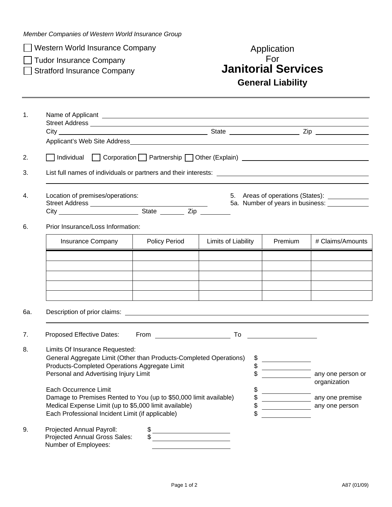*Member Companies of Western World Insurance Group* 

 $\Box$  Western World Insurance Company

 $\Box$  Tudor Insurance Company

## <table>\n<tbody>\n<tr>\n<td>□ Western World Insurance Company</td>\n<td>Application</td>\n</tr>\n<tr>\n<td>□ Tudor Insurance Company</td>\n<td>For</td>\n</tr>\n<tr>\n<td>□ Stratford Insurance Company</td>\n<td>Janitorial Services</td>\n</tr>\n</tbody>\n</table> **General Liability**

| $\mathbf{1}$ .                                                                                                                                                                                                                                                    |                                                                                                                                                                                |                                   |                     |                                         |                                   |  |  |  |  |  |
|-------------------------------------------------------------------------------------------------------------------------------------------------------------------------------------------------------------------------------------------------------------------|--------------------------------------------------------------------------------------------------------------------------------------------------------------------------------|-----------------------------------|---------------------|-----------------------------------------|-----------------------------------|--|--|--|--|--|
|                                                                                                                                                                                                                                                                   |                                                                                                                                                                                |                                   |                     |                                         |                                   |  |  |  |  |  |
|                                                                                                                                                                                                                                                                   |                                                                                                                                                                                |                                   |                     |                                         |                                   |  |  |  |  |  |
| 2.                                                                                                                                                                                                                                                                |                                                                                                                                                                                |                                   |                     |                                         |                                   |  |  |  |  |  |
| 3.                                                                                                                                                                                                                                                                |                                                                                                                                                                                |                                   |                     |                                         |                                   |  |  |  |  |  |
| 4.                                                                                                                                                                                                                                                                | Location of premises/operations:<br>5. Areas of operations (States): ____________<br>5a. Number of years in business:                                                          |                                   |                     |                                         |                                   |  |  |  |  |  |
| 6.                                                                                                                                                                                                                                                                |                                                                                                                                                                                | Prior Insurance/Loss Information: |                     |                                         |                                   |  |  |  |  |  |
|                                                                                                                                                                                                                                                                   | <b>Insurance Company</b>                                                                                                                                                       | <b>Policy Period</b>              | Limits of Liability | Premium                                 | # Claims/Amounts                  |  |  |  |  |  |
|                                                                                                                                                                                                                                                                   |                                                                                                                                                                                |                                   |                     |                                         |                                   |  |  |  |  |  |
|                                                                                                                                                                                                                                                                   |                                                                                                                                                                                |                                   |                     |                                         |                                   |  |  |  |  |  |
|                                                                                                                                                                                                                                                                   |                                                                                                                                                                                |                                   |                     |                                         |                                   |  |  |  |  |  |
| 6а.                                                                                                                                                                                                                                                               | Description of prior claims: <b>Example 2018</b> 2019 12:30 2019 2019 2019 2020 2021 2021 2022 2023 2024 2022 2023 2024                                                        |                                   |                     |                                         |                                   |  |  |  |  |  |
| 7.                                                                                                                                                                                                                                                                |                                                                                                                                                                                |                                   |                     |                                         |                                   |  |  |  |  |  |
| 8.<br>Limits Of Insurance Requested:<br>General Aggregate Limit (Other than Products-Completed Operations)<br>\$<br>\$<br>Products-Completed Operations Aggregate Limit<br>$\mathfrak{S}$<br>Personal and Advertising Injury Limit<br>\$<br>Each Occurrence Limit |                                                                                                                                                                                |                                   |                     | <u> 1990 - Johann Barbara, martin a</u> | any one person or<br>organization |  |  |  |  |  |
|                                                                                                                                                                                                                                                                   | Damage to Premises Rented to You (up to \$50,000 limit available)<br>Medical Expense Limit (up to \$5,000 limit available)<br>Each Professional Incident Limit (if applicable) | \$<br>\$<br>\$                    |                     | any one premise<br>any one person       |                                   |  |  |  |  |  |
| 9.                                                                                                                                                                                                                                                                | Projected Annual Payroll:<br>Projected Annual Gross Sales:<br>Number of Employees:                                                                                             | \$                                |                     |                                         |                                   |  |  |  |  |  |